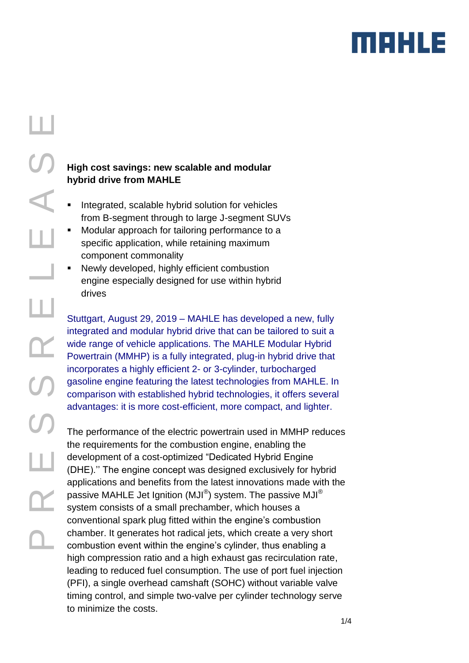# marile

#### **High cost savings: new scalable and modular hybrid drive from MAHLE**

- Integrated, scalable hybrid solution for vehicles from B-segment through to large J-segment SUVs
- Modular approach for tailoring performance to a specific application, while retaining maximum component commonality
- Newly developed, highly efficient combustion engine especially designed for use within hybrid drives

Stuttgart, August 29, 2019 – MAHLE has developed a new, fully integrated and modular hybrid drive that can be tailored to suit a wide range of vehicle applications. The MAHLE Modular Hybrid Powertrain (MMHP) is a fully integrated, plug-in hybrid drive that incorporates a highly efficient 2- or 3-cylinder, turbocharged gasoline engine featuring the latest technologies from MAHLE. In comparison with established hybrid technologies, it offers several advantages: it is more cost-efficient, more compact, and lighter.

The performance of the electric powertrain used in MMHP reduces the requirements for the combustion engine, enabling the development of a cost-optimized "Dedicated Hybrid Engine (DHE).'' The engine concept was designed exclusively for hybrid applications and benefits from the latest innovations made with the passive MAHLE Jet Ignition (MJI $^\circledR$ ) system. The passive MJI $^\circ$ system consists of a small prechamber, which houses a conventional spark plug fitted within the engine's combustion chamber. It generates hot radical jets, which create a very short combustion event within the engine's cylinder, thus enabling a high compression ratio and a high exhaust gas recirculation rate, leading to reduced fuel consumption. The use of port fuel injection (PFI), a single overhead camshaft (SOHC) without variable valve timing control, and simple two-valve per cylinder technology serve to minimize the costs.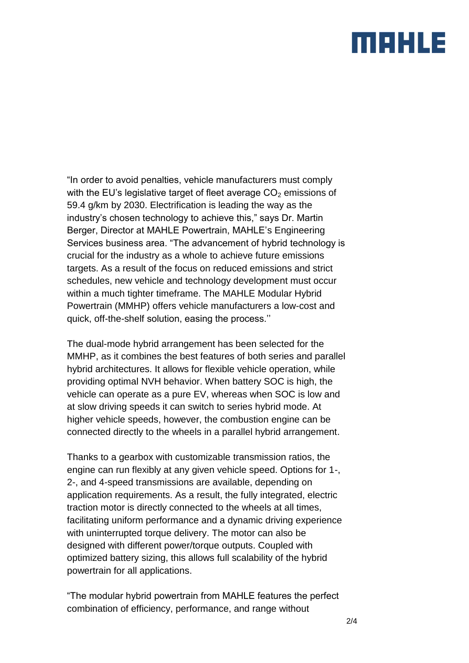## merus

"In order to avoid penalties, vehicle manufacturers must comply with the EU's legislative target of fleet average  $CO<sub>2</sub>$  emissions of 59.4 g/km by 2030. Electrification is leading the way as the industry's chosen technology to achieve this," says Dr. Martin Berger, Director at MAHLE Powertrain, MAHLE's Engineering Services business area. "The advancement of hybrid technology is crucial for the industry as a whole to achieve future emissions targets. As a result of the focus on reduced emissions and strict schedules, new vehicle and technology development must occur within a much tighter timeframe. The MAHLE Modular Hybrid Powertrain (MMHP) offers vehicle manufacturers a low-cost and quick, off-the-shelf solution, easing the process.''

The dual-mode hybrid arrangement has been selected for the MMHP, as it combines the best features of both series and parallel hybrid architectures. It allows for flexible vehicle operation, while providing optimal NVH behavior. When battery SOC is high, the vehicle can operate as a pure EV, whereas when SOC is low and at slow driving speeds it can switch to series hybrid mode. At higher vehicle speeds, however, the combustion engine can be connected directly to the wheels in a parallel hybrid arrangement.

Thanks to a gearbox with customizable transmission ratios, the engine can run flexibly at any given vehicle speed. Options for 1-, 2-, and 4-speed transmissions are available, depending on application requirements. As a result, the fully integrated, electric traction motor is directly connected to the wheels at all times, facilitating uniform performance and a dynamic driving experience with uninterrupted torque delivery. The motor can also be designed with different power/torque outputs. Coupled with optimized battery sizing, this allows full scalability of the hybrid powertrain for all applications.

"The modular hybrid powertrain from MAHLE features the perfect combination of efficiency, performance, and range without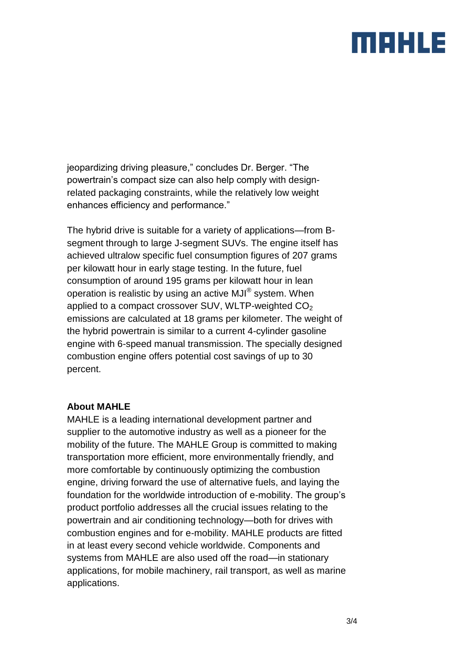## merus

jeopardizing driving pleasure," concludes Dr. Berger. "The powertrain's compact size can also help comply with designrelated packaging constraints, while the relatively low weight enhances efficiency and performance."

The hybrid drive is suitable for a variety of applications—from Bsegment through to large J-segment SUVs. The engine itself has achieved ultralow specific fuel consumption figures of 207 grams per kilowatt hour in early stage testing. In the future, fuel consumption of around 195 grams per kilowatt hour in lean operation is realistic by using an active MJI® system. When applied to a compact crossover SUV, WLTP-weighted  $CO<sub>2</sub>$ emissions are calculated at 18 grams per kilometer. The weight of the hybrid powertrain is similar to a current 4-cylinder gasoline engine with 6-speed manual transmission. The specially designed combustion engine offers potential cost savings of up to 30 percent.

#### **About MAHLE**

MAHLE is a leading international development partner and supplier to the automotive industry as well as a pioneer for the mobility of the future. The MAHLE Group is committed to making transportation more efficient, more environmentally friendly, and more comfortable by continuously optimizing the combustion engine, driving forward the use of alternative fuels, and laying the foundation for the worldwide introduction of e-mobility. The group's product portfolio addresses all the crucial issues relating to the powertrain and air conditioning technology—both for drives with combustion engines and for e-mobility. MAHLE products are fitted in at least every second vehicle worldwide. Components and systems from MAHLE are also used off the road—in stationary applications, for mobile machinery, rail transport, as well as marine applications.